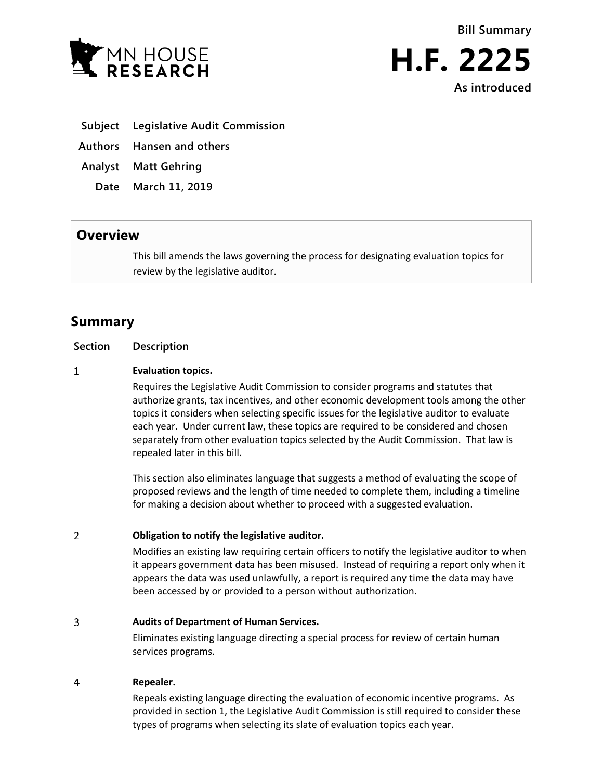



**As introduced**

- **Subject Legislative Audit Commission**
- **Authors Hansen and others**
- **Analyst Matt Gehring**
	- **Date March 11, 2019**

## **Overview**

This bill amends the laws governing the process for designating evaluation topics for review by the legislative auditor.

# **Summary**

### **Section Description**

#### $\mathbf{1}$ **Evaluation topics.**

Requires the Legislative Audit Commission to consider programs and statutes that authorize grants, tax incentives, and other economic development tools among the other topics it considers when selecting specific issues for the legislative auditor to evaluate each year. Under current law, these topics are required to be considered and chosen separately from other evaluation topics selected by the Audit Commission. That law is repealed later in this bill.

This section also eliminates language that suggests a method of evaluating the scope of proposed reviews and the length of time needed to complete them, including a timeline for making a decision about whether to proceed with a suggested evaluation.

#### $\overline{2}$ **Obligation to notify the legislative auditor.**

Modifies an existing law requiring certain officers to notify the legislative auditor to when it appears government data has been misused. Instead of requiring a report only when it appears the data was used unlawfully, a report is required any time the data may have been accessed by or provided to a person without authorization.

#### 3 **Audits of Department of Human Services.**

Eliminates existing language directing a special process for review of certain human services programs.

#### $\overline{4}$ **Repealer.**

Repeals existing language directing the evaluation of economic incentive programs. As provided in section 1, the Legislative Audit Commission is still required to consider these types of programs when selecting its slate of evaluation topics each year.